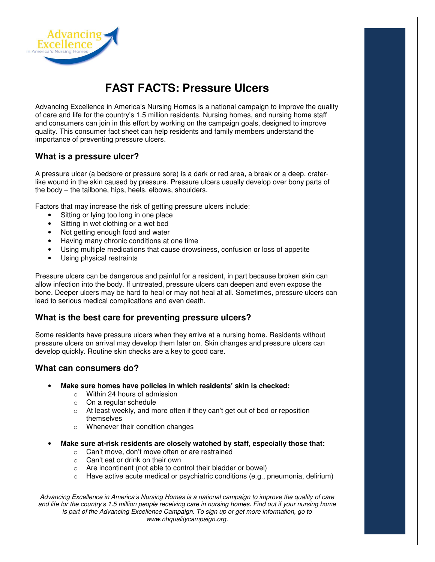

# **FAST FACTS: Pressure Ulcers**

Advancing Excellence in America's Nursing Homes is a national campaign to improve the quality of care and life for the country's 1.5 million residents. Nursing homes, and nursing home staff and consumers can join in this effort by working on the campaign goals, designed to improve quality. This consumer fact sheet can help residents and family members understand the importance of preventing pressure ulcers.

## **What is a pressure ulcer?**

A pressure ulcer (a bedsore or pressure sore) is a dark or red area, a break or a deep, craterlike wound in the skin caused by pressure. Pressure ulcers usually develop over bony parts of the body – the tailbone, hips, heels, elbows, shoulders.

Factors that may increase the risk of getting pressure ulcers include:

- Sitting or lying too long in one place
- Sitting in wet clothing or a wet bed
- Not getting enough food and water
- Having many chronic conditions at one time
- Using multiple medications that cause drowsiness, confusion or loss of appetite
- Using physical restraints

Pressure ulcers can be dangerous and painful for a resident, in part because broken skin can allow infection into the body. If untreated, pressure ulcers can deepen and even expose the bone. Deeper ulcers may be hard to heal or may not heal at all. Sometimes, pressure ulcers can lead to serious medical complications and even death.

# **What is the best care for preventing pressure ulcers?**

Some residents have pressure ulcers when they arrive at a nursing home. Residents without pressure ulcers on arrival may develop them later on. Skin changes and pressure ulcers can develop quickly. Routine skin checks are a key to good care.

# **What can consumers do?**

- **Make sure homes have policies in which residents' skin is checked:** 
	- o Within 24 hours of admission
	- o On a regular schedule
	- o At least weekly, and more often if they can't get out of bed or reposition themselves
	- o Whenever their condition changes
	- **Make sure at-risk residents are closely watched by staff, especially those that:** 
		- o Can't move, don't move often or are restrained
		- o Can't eat or drink on their own
		- o Are incontinent (not able to control their bladder or bowel)
		- $\circ$  Have active acute medical or psychiatric conditions (e.g., pneumonia, delirium)

Advancing Excellence in America's Nursing Homes is a national campaign to improve the quality of care and life for the country's 1.5 million people receiving care in nursing homes. Find out if your nursing home is part of the Advancing Excellence Campaign. To sign up or get more information, go to www.nhqualitycampaign.org.